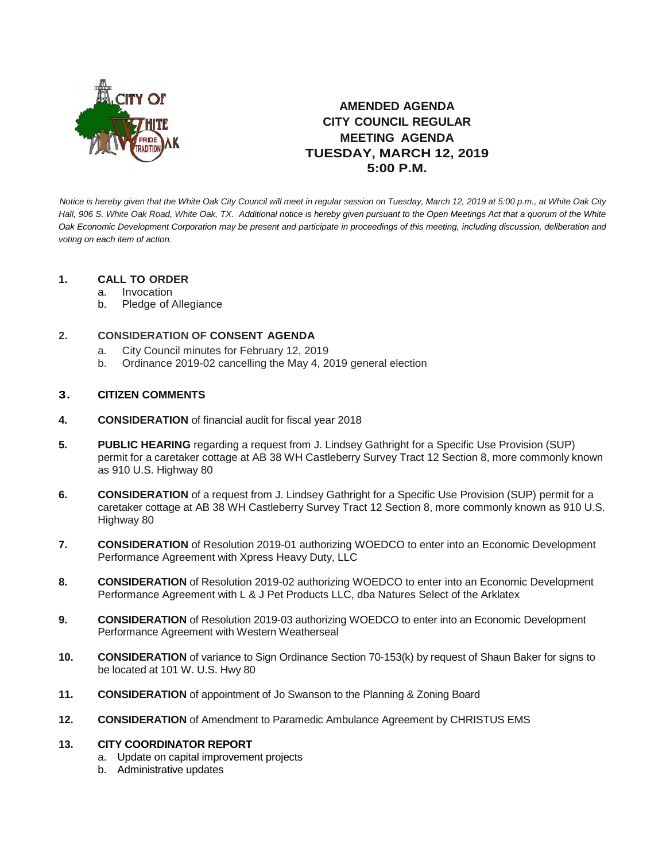

# **AMENDED AGENDA CITY COUNCIL REGULAR MEETING AGENDA TUESDAY, MARCH 12, 2019 5:00 P.M.**

*Notice is hereby given that the White Oak City Council will meet in regular session on Tuesday, March 12, 2019 at 5:00 p.m., at White Oak City Hall, 906 S. White Oak Road, White Oak, TX. Additional notice is hereby given pursuant to the Open Meetings Act that a quorum of the White Oak Economic Development Corporation may be present and participate in proceedings of this meeting, including discussion, deliberation and voting on each item of action.*

## **1. CALL TO ORDER**

- a. Invocation
- b. Pledge of Allegiance

## **2. CONSIDERATION OF CONSENT AGENDA**

- a. City Council minutes for February 12, 2019
- b. Ordinance 2019-02 cancelling the May 4, 2019 general election

### **3. CITIZEN COMMENTS**

- **4. CONSIDERATION** of financial audit for fiscal year 2018
- **5. PUBLIC HEARING** regarding a request from J. Lindsey Gathright for a Specific Use Provision (SUP) permit for a caretaker cottage at AB 38 WH Castleberry Survey Tract 12 Section 8, more commonly known as 910 U.S. Highway 80
- **6. CONSIDERATION** of a request from J. Lindsey Gathright for a Specific Use Provision (SUP) permit for a caretaker cottage at AB 38 WH Castleberry Survey Tract 12 Section 8, more commonly known as 910 U.S. Highway 80
- **7. CONSIDERATION** of Resolution 2019-01 authorizing WOEDCO to enter into an Economic Development Performance Agreement with Xpress Heavy Duty, LLC
- **8. CONSIDERATION** of Resolution 2019-02 authorizing WOEDCO to enter into an Economic Development Performance Agreement with L & J Pet Products LLC, dba Natures Select of the Arklatex
- **9. CONSIDERATION** of Resolution 2019-03 authorizing WOEDCO to enter into an Economic Development Performance Agreement with Western Weatherseal
- **10. CONSIDERATION** of variance to Sign Ordinance Section 70-153(k) by request of Shaun Baker for signs to be located at 101 W. U.S. Hwy 80
- **11. CONSIDERATION** of appointment of Jo Swanson to the Planning & Zoning Board
- **12. CONSIDERATION** of Amendment to Paramedic Ambulance Agreement by CHRISTUS EMS

#### **13. CITY COORDINATOR REPORT**

- a. Update on capital improvement projects
- b. Administrative updates